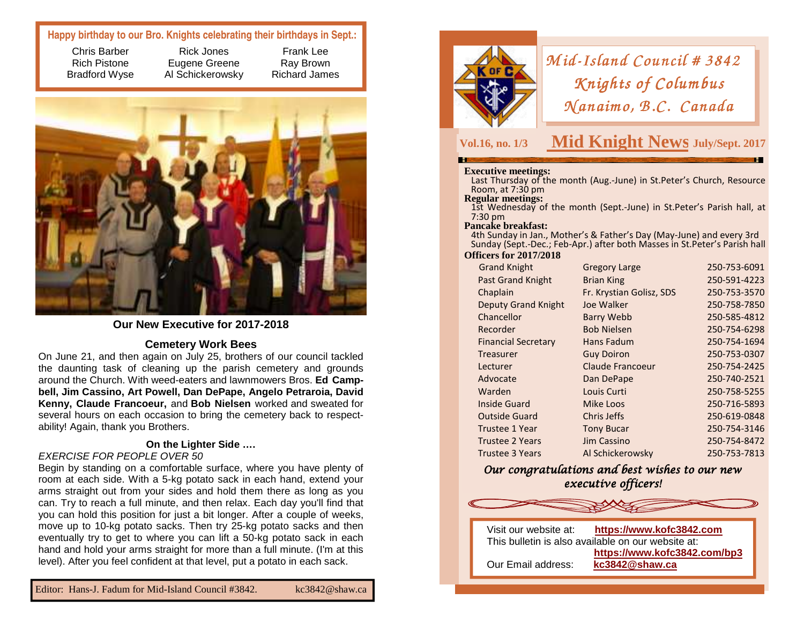### **Happy birthday to our Bro. Knights celebrating their birthdays in Sept.:**

Frank Lee Ray Brown Richard James

Chris Barber Rich Pistone Bradford Wyse

Rick Jones Eugene Greene Al Schickerowsky

### **Our New Executive for 2017-2018**

### **Cemetery Work Bees**

 On June 21, and then again on July 25, brothers of our council tackled the daunting task of cleaning up the parish cemetery and grounds around the Church. With weed-eaters and lawnmowers Bros. **Ed Campbell, Jim Cassino, Art Powell, Dan DePape, Angelo Petraroia, David Kenny, Claude Francoeur,** and **Bob Nielsen** worked and sweated for several hours on each occasion to bring the cemetery back to respectability! Again, thank you Brothers.

### **On the Lighter Side ….**

### EXERCISE FOR PEOPLE OVER 50

 Begin by standing on a comfortable surface, where you have plenty of room at each side. With a 5-kg potato sack in each hand, extend your arms straight out from your sides and hold them there as long as you can. Try to reach a full minute, and then relax. Each day you'll find that you can hold this position for just a bit longer. After a couple of weeks, move up to 10-kg potato sacks. Then try 25-kg potato sacks and then eventually try to get to where you can lift a 50-kg potato sack in each hand and hold your arms straight for more than a full minute. (I'm at this level). After you feel confident at that level, put a potato in each sack.



## *Mid-Island Council # 3842*<br>*Knights of Columbus Knights of Columbus<br>(anaimo, B.C. Canadı*  $Manaimo, B.C. Canada$

## **Vol.16, no. 1/3 Mid Knight News Dec./Jan. July/Sept. 2017**

**Executive meetings:** Last Thursday of the month (Aug.-June) in St.Peter's Church, Resource Room, at 7:30 pm<br>**Regular meetings:** 

1st Wednesday of the month (Sept.-June) in St.Peter's Parish hall, at 7:30 pm

### **Pancake breakfast:**

 4th Sunday in Jan., Mother's & Father's Day (May-June) and every 3rd Sunday (Sept.-Dec.; Feb-Apr.) after both Masses in St.Peter's Parish hall

### **Officers for 2017/2018**

| <b>Grand Knight</b>        | <b>Gregory Large</b>     | 250-753-6091 |
|----------------------------|--------------------------|--------------|
| <b>Past Grand Knight</b>   | <b>Brian King</b>        | 250-591-4223 |
| Chaplain                   | Fr. Krystian Golisz, SDS | 250-753-3570 |
| <b>Deputy Grand Knight</b> | Joe Walker               | 250-758-7850 |
| Chancellor                 | <b>Barry Webb</b>        | 250-585-4812 |
| Recorder                   | <b>Bob Nielsen</b>       | 250-754-6298 |
| <b>Financial Secretary</b> | Hans Fadum               | 250-754-1694 |
| Treasurer                  | <b>Guy Doiron</b>        | 250-753-0307 |
| Lecturer                   | <b>Claude Francoeur</b>  | 250-754-2425 |
| Advocate                   | Dan DePape               | 250-740-2521 |
| Warden                     | Louis Curti              | 250-758-5255 |
| <b>Inside Guard</b>        | Mike Loos                | 250-716-5893 |
| <b>Outside Guard</b>       | Chris Jeffs              | 250-619-0848 |
| Trustee 1 Year             | <b>Tony Bucar</b>        | 250-754-3146 |
| <b>Trustee 2 Years</b>     | Jim Cassino              | 250-754-8472 |
| <b>Trustee 3 Years</b>     | Al Schickerowsky         | 250-753-7813 |
|                            |                          |              |

Our congratulations and best wishes to our new executive officers!